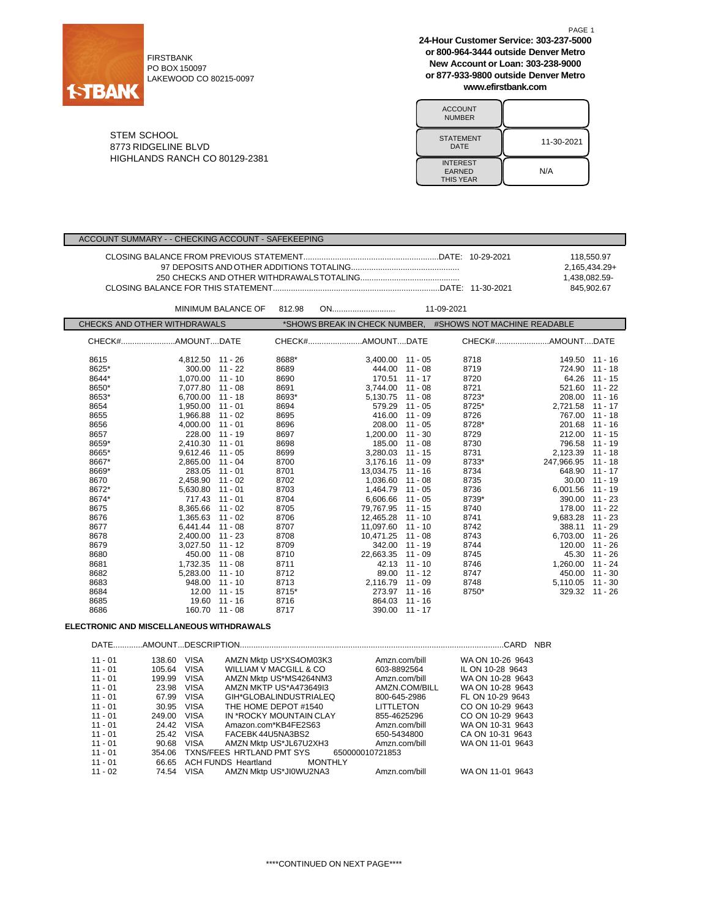

Г

FIRSTBANK PO BOX 150097 LAKEWOOD CO 80215-0097 **24-Hour Customer Service: 303-237-5000 or 800-964-3444 outside Denver Metro New Account or Loan: 303-238-9000 or 877-933-9800 outside Denver Metro www.efirstbank.com**

| <b>ACCOUNT</b><br><b>NUMBER</b>                      |            |
|------------------------------------------------------|------------|
| <b>STATEMENT</b><br>DATE                             | 11-30-2021 |
| <b>INTEREST</b><br><b>EARNED</b><br><b>THIS YEAR</b> | N/A        |

STEM SCHOOL 8773 RIDGELINE BLVD HIGHLANDS RANCH CO 80129-2381

|  | 118.550.97    |
|--|---------------|
|  | 2.165.434.29+ |
|  | 1.438.082.59- |
|  | 845.902.67    |

|                              |                  | <b>MINIMUM BALANCE OF</b> | 812.98 | ON                 |                | 11-09-2021                                                |                  |                 |
|------------------------------|------------------|---------------------------|--------|--------------------|----------------|-----------------------------------------------------------|------------------|-----------------|
| CHECKS AND OTHER WITHDRAWALS |                  |                           |        |                    |                | *SHOWS BREAK IN CHECK NUMBER, #SHOWS NOT MACHINE READABLE |                  |                 |
|                              |                  |                           |        |                    |                |                                                           |                  |                 |
| 8615                         | 4,812.50 11 - 26 |                           | 8688*  | 3,400.00 11 - 05   |                | 8718                                                      |                  | 149.50 11 - 16  |
| 8625*                        |                  | 300.00 11 - 22            | 8689   | 444.00 11 - 08     |                | 8719                                                      |                  | 724.90 11 - 18  |
| 8644*                        | 1,070.00 11 - 10 |                           | 8690   | 170.51 11 - 17     |                | 8720                                                      |                  | 64.26 11 - 15   |
| 8650*                        | 7.077.80 11 - 08 |                           | 8691   | $3.744.00$ 11 - 08 |                | 8721                                                      | 521.60 11 - 22   |                 |
| 8653*                        | 6.700.00 11 - 18 |                           | 8693*  | 5,130.75 11 - 08   |                | 8723*                                                     |                  | 208.00 11 - 16  |
| 8654                         | 1.950.00 11 - 01 |                           | 8694   |                    | 579.29 11 - 05 | 8725*                                                     | 2.721.58 11 - 17 |                 |
| 8655                         | 1.966.88 11 - 02 |                           | 8695   | 416.00             | $11 - 09$      | 8726                                                      | 767.00 11 - 18   |                 |
| 8656                         | 4.000.00 11 - 01 |                           | 8696   | 208.00 11 - 05     |                | 8728*                                                     | 201.68 11 - 16   |                 |
| 8657                         | 228.00 11 - 19   |                           | 8697   | 1,200.00 11 - 30   |                | 8729                                                      | 212.00 11 - 15   |                 |
| 8659*                        | 2.410.30 11 - 01 |                           | 8698   |                    | 185.00 11 - 08 | 8730                                                      |                  | 796.58 11 - 19  |
| 8665*                        | 9,612.46 11 - 05 |                           | 8699   | 3,280.03 11 - 15   |                | 8731                                                      | 2,123.39 11 - 18 |                 |
| 8667*                        | 2.865.00 11 - 04 |                           | 8700   | 3.176.16 11 - 09   |                | 8733*                                                     | 247.966.95       | 11 - 18         |
| 8669*                        | 283.05 11 - 01   |                           | 8701   | 13,034.75 11 - 16  |                | 8734                                                      | 648.90 11 - 17   |                 |
| 8670                         | 2,458.90 11 - 02 |                           | 8702   | 1.036.60           | 11 - 08        | 8735                                                      |                  | $30.00$ 11 - 19 |
| 8672*                        | 5,630.80 11 - 01 |                           | 8703   | 1,464.79 11 - 05   |                | 8736                                                      | 6,001.56         | 11 - 19         |
| 8674*                        | 717.43 11 - 01   |                           | 8704   | 6.606.66 11 - 05   |                | 8739*                                                     | 390.00 11 - 23   |                 |
| 8675                         | 8.365.66 11 - 02 |                           | 8705   | 79.767.95 11 - 15  |                | 8740                                                      | 178.00           | $11 - 22$       |
| 8676                         | 1.365.63 11 - 02 |                           | 8706   | 12,465.28 11 - 10  |                | 8741                                                      | 9,683.28 11 - 23 |                 |
| 8677                         | 6,441.44 11 - 08 |                           | 8707   | 11.097.60 11 - 10  |                | 8742                                                      | 388.11           | $11 - 29$       |
| 8678                         | 2.400.00 11 - 23 |                           | 8708   | 10.471.25 11 - 08  |                | 8743                                                      | 6,703.00 11 - 26 |                 |
| 8679                         | 3,027.50 11 - 12 |                           | 8709   |                    | 342.00 11 - 19 | 8744                                                      | 120.00           | 11 - 26         |
| 8680                         | 450.00 11 - 08   |                           | 8710   | 22,663.35          | $11 - 09$      | 8745                                                      |                  | 45.30 11 - 26   |
| 8681                         | 1.732.35 11 - 08 |                           | 8711   |                    | 42.13 11 - 10  | 8746                                                      | 1,260.00 11 - 24 |                 |
| 8682                         | 5,283.00 11 - 10 |                           | 8712   | 89.00              | $11 - 12$      | 8747                                                      | 450.00           | 11 - 30         |
| 8683                         |                  | 948.00 11 - 10            | 8713   | 2.116.79 11 - 09   |                | 8748                                                      | 5,110.05 11 - 30 |                 |
| 8684                         |                  | $12.00$ $11 - 15$         | 8715*  | 273.97 11 - 16     |                | 8750*                                                     | 329.32 11 - 26   |                 |
| 8685                         |                  | 19.60 11 - 16             | 8716   | 864.03 11 - 16     |                |                                                           |                  |                 |
| 8686                         |                  | 160.70 11 - 08            | 8717   |                    | 390.00 11 - 17 |                                                           |                  |                 |

## **ELECTRONIC AND MISCELLANEOUS WITHDRAWALS**

|           |            |             |                                           |               | CARD<br><b>NBR</b> |
|-----------|------------|-------------|-------------------------------------------|---------------|--------------------|
| $11 - 01$ | 138.60     | <b>VISA</b> | AMZN Mktp US*XS4OM03K3                    | Amzn.com/bill | WA ON 10-26 9643   |
| $11 - 01$ | 105.64     | VISA        | WILLIAM V MACGILL & CO                    | 603-8892564   | IL ON 10-28 9643   |
| $11 - 01$ | 199.99     | <b>VISA</b> | AMZN Mktp US*MS4264NM3                    | Amzn.com/bill | WA ON 10-28 9643   |
| $11 - 01$ | 23.98      | VISA        | AMZN MKTP US*A473649I3                    | AMZN.COM/BILL | WA ON 10-28 9643   |
| $11 - 01$ | 67.99      | VISA        | GIH*GLOBALINDUSTRIALEQ                    | 800-645-2986  | FL ON 10-29 9643   |
| $11 - 01$ | 30.95      | VISA        | THE HOME DEPOT #1540                      | LITTLETON     | CO ON 10-29 9643   |
| $11 - 01$ | 249.00     | <b>VISA</b> | IN *ROCKY MOUNTAIN CLAY                   | 855-4625296   | CO ON 10-29 9643   |
| $11 - 01$ | 24.42      | VISA        | Amazon.com*KB4FE2S63                      | Amzn.com/bill | WA ON 10-31 9643   |
| $11 - 01$ | 25.42 VISA |             | FACEBK 44U5NA3BS2                         | 650-5434800   | CA ON 10-31 9643   |
| $11 - 01$ | 90.68      | VISA        | AMZN Mktp US*JL67U2XH3                    | Amzn.com/bill | WA ON 11-01 9643   |
| $11 - 01$ | 354.06     |             | TXNS/FEES HRTLAND PMT SYS 650000010721853 |               |                    |
| $11 - 01$ | 66.65      |             | ACH FUNDS Heartland<br><b>MONTHLY</b>     |               |                    |
| $11 - 02$ |            | 74.54 VISA  | AMZN Mktp US*JI0WU2NA3                    | Amzn.com/bill | WA ON 11-01 9643   |
|           |            |             |                                           |               |                    |

PAGE 1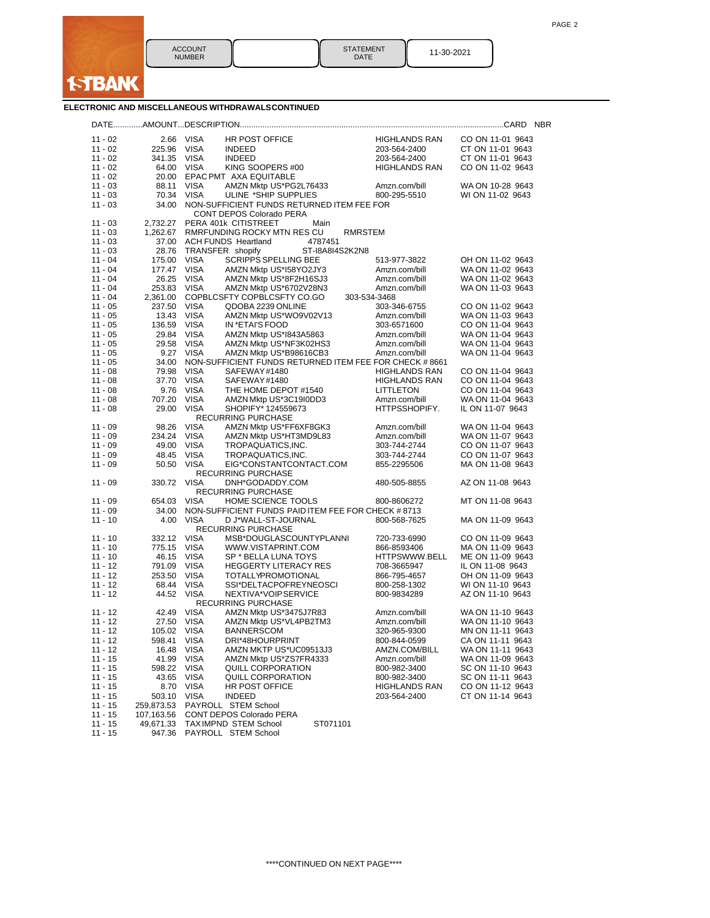

| <b>ACCOUNT</b> | I |
|----------------|---|
| <b>NUMBER</b>  |   |

STATEMENT | 11-30-2021

## **ELECTRONIC AND MISCELLANEOUS WITHDRAWALSCONTINUED**

| $11 - 02$              | 2.66                | VISA                       | HR POST OFFICE                                         | <b>HIGHLANDS RAN</b>          | CO ON 11-01 9643                     |
|------------------------|---------------------|----------------------------|--------------------------------------------------------|-------------------------------|--------------------------------------|
| $11 - 02$              | 225.96              | VISA                       | <b>INDEED</b>                                          | 203-564-2400                  | CT ON 11-01 9643                     |
| $11 - 02$              | 341.35              | <b>VISA</b>                | <b>INDEED</b>                                          | 203-564-2400                  | CT ON 11-01 9643                     |
| $11 - 02$              | 64.00               | <b>VISA</b>                | KING SOOPERS #00                                       | <b>HIGHLANDS RAN</b>          | CO ON 11-02 9643                     |
| $11 - 02$              | 20.00               |                            | EPAC PMT AXA EQUITABLE                                 |                               |                                      |
| $11 - 03$              | 88.11               | <b>VISA</b>                | AMZN Mktp US*PG2L76433                                 | Amzn.com/bill                 | WA ON 10-28 9643                     |
| $11 - 03$              | 70.34               | <b>VISA</b>                | ULINE *SHIP SUPPLIES                                   | 800-295-5510                  | WI ON 11-02 9643                     |
| $11 - 03$              | 34.00               |                            | NON-SUFFICIENT FUNDS RETURNED ITEM FEE FOR             |                               |                                      |
|                        |                     |                            | CONT DEPOS Colorado PERA                               |                               |                                      |
| 11 - 03                | 2,732.27            |                            | PERA 401k CITISTREET<br>Main                           |                               |                                      |
| 11 - 03                | 1,262.67            |                            | RMRFUNDING ROCKY MTN RES CU<br><b>RMRSTEM</b>          |                               |                                      |
| $11 - 03$              | 37.00               |                            | <b>ACH FUNDS Heartland</b><br>4787451                  |                               |                                      |
| $11 - 03$              | 28.76               |                            | TRANSFER shopify<br>ST-18A814S2K2N8                    |                               |                                      |
| $11 - 04$              | 175.00              | <b>VISA</b>                | <b>SCRIPPS SPELLING BEE</b>                            | 513-977-3822                  | OH ON 11-02 9643                     |
| $11 - 04$              | 177.47              | <b>VISA</b>                | AMZN Mktp US*I58YO2JY3                                 | Amzn.com/bill                 | WA ON 11-02 9643                     |
| $11 - 04$              | 26.25               | <b>VISA</b>                | AMZN Mktp US*8F2H16SJ3                                 | Amzn.com/bill                 | WA ON 11-02 9643                     |
| 11 - 04                | 253.83              | <b>VISA</b>                | AMZN Mktp US*6702V28N3                                 | Amzn.com/bill                 | WA ON 11-03 9643                     |
| $11 - 04$              | 2,361.00            |                            | COPBLCSFTY COPBLCSFTY CO.GO                            | 303-534-3468                  |                                      |
| $11 - 05$              | 237.50              | <b>VISA</b>                | QDOBA 2239 ONLINE                                      | 303-346-6755                  | CO ON 11-02 9643                     |
| 11 - 05                | 13.43               | <b>VISA</b>                | AMZN Mktp US*WO9V02V13                                 | Amzn.com/bill                 | WA ON 11-03 9643                     |
| $11 - 05$              | 136.59              | <b>VISA</b>                | IN *ETAI'S FOOD                                        | 303-6571600                   | CO ON 11-04 9643                     |
| $11 - 05$              | 29.84               | <b>VISA</b>                | AMZN Mktp US*I843A5863                                 | Amzn.com/bill                 | WA ON 11-04 9643                     |
| $11 - 05$              | 29.58               | <b>VISA</b>                | AMZN Mktp US*NF3K02HS3                                 | Amzn.com/bill                 | WA ON 11-04 9643                     |
| $11 - 05$              | 9.27                | <b>VISA</b>                | AMZN Mktp US*B98616CB3                                 | Amzn.com/bill                 | WA ON 11-04 9643                     |
| $11 - 05$              | 34.00               |                            | NON-SUFFICIENT FUNDS RETURNED ITEM FEE FOR CHECK #8661 |                               |                                      |
| $11 - 08$              | 79.98               | <b>VISA</b>                | SAFEWAY#1480                                           | <b>HIGHLANDS RAN</b>          | CO ON 11-04 9643                     |
| $11 - 08$              | 37.70               | <b>VISA</b>                | SAFEWAY#1480                                           | <b>HIGHLANDS RAN</b>          | CO ON 11-04 9643                     |
| $11 - 08$              | 9.76                | <b>VISA</b>                | THE HOME DEPOT #1540                                   | <b>LITTLETON</b>              | CO ON 11-04 9643                     |
| $11 - 08$              | 707.20              | <b>VISA</b>                | AMZN Mktp US*3C19I0DD3                                 | Amzn.com/bill                 | WA ON 11-04 9643                     |
| $11 - 08$              | 29.00               | <b>VISA</b>                | SHOPIFY* 124559673<br><b>RECURRING PURCHASE</b>        | HTTPSSHOPIFY.                 | IL ON 11-07 9643                     |
|                        | 98.26               | <b>VISA</b>                |                                                        |                               |                                      |
| 11 - 09                |                     |                            | AMZN Mktp US*FF6XF8GK3                                 | Amzn.com/bill                 | WA ON 11-04 9643                     |
| 11 - 09<br>$11 - 09$   | 234.24<br>49.00     | <b>VISA</b><br><b>VISA</b> | AMZN Mktp US*HT3MD9L83                                 | Amzn.com/bill<br>303-744-2744 | WA ON 11-07 9643<br>CO ON 11-07 9643 |
| $11 - 09$              | 48.45               | <b>VISA</b>                | TROPAQUATICS, INC.<br>TROPAQUATICS, INC.               | 303-744-2744                  | CO ON 11-07 9643                     |
| 11 - 09                | 50.50               | <b>VISA</b>                | EIG*CONSTANTCONTACT.COM                                | 855-2295506                   | MA ON 11-08 9643                     |
|                        |                     |                            | <b>RECURRING PURCHASE</b>                              |                               |                                      |
| 11 - 09                | 330.72              | <b>VISA</b>                | DNH*GODADDY.COM                                        | 480-505-8855                  | AZ ON 11-08 9643                     |
|                        |                     |                            | RECURRING PURCHASE                                     |                               |                                      |
| 11 - 09                | 654.03              | <b>VISA</b>                | HOME SCIENCE TOOLS                                     | 800-8606272                   | MT ON 11-08 9643                     |
| $11 - 09$              | 34.00               |                            | NON-SUFFICIENT FUNDS PAID ITEM FEE FOR CHECK #8713     |                               |                                      |
| 11 - 10                | 4.00                | <b>VISA</b>                | D J*WALL-ST-JOURNAL                                    | 800-568-7625                  | MA ON 11-09 9643                     |
|                        |                     |                            | <b>RECURRING PURCHASE</b>                              |                               |                                      |
| $11 - 10$              | 332.12              | <b>VISA</b>                | MSB*DOUGLASCOUNTYPLANNI                                | 720-733-6990                  | CO ON 11-09 9643                     |
| 11 - 10                | 775.15              | <b>VISA</b>                | WWW.VISTAPRINT.COM                                     | 866-8593406                   | MA ON 11-09 9643                     |
| $11 - 10$              | 46.15               | <b>VISA</b>                | SP * BELLA LUNA TOYS                                   | HTTPSWWW.BELL                 | ME ON 11-09 9643                     |
| 11 - 12                | 791.09              | <b>VISA</b>                | <b>HEGGERTY LITERACY RES</b>                           | 708-3665947                   | IL ON 11-08 9643                     |
| 11 - 12                | 253.50              | <b>VISA</b>                | <b>TOTALLYPROMOTIONAL</b>                              | 866-795-4657                  | OH ON 11-09 9643                     |
| $11 - 12$              | 68.44               | <b>VISA</b>                | SSI*DELTACPOFREYNEOSCI                                 | 800-258-1302                  | WI ON 11-10 9643                     |
| $11 - 12$              | 44.52               | <b>VISA</b>                | NEXTIVA*VOIPSERVICE                                    | 800-9834289                   | AZ ON 11-10 9643                     |
|                        |                     |                            | <b>RECURRING PURCHASE</b>                              |                               |                                      |
| $11 - 12$              | 42.49               | <b>VISA</b>                | AMZN Mktp US*3475J7R83                                 | Amzn.com/bill                 | WA ON 11-10 9643                     |
| 11 - 12                | 27.50               | VISA                       | AMZN Mktp US*VL4PB2TM3                                 | Amzn.com/bill                 | WA ON 11-10 9643                     |
| 11 - 12                | 105.02 VISA         |                            | <b>BANNERSCOM</b>                                      | 320-965-9300                  | MN ON 11-11 9643                     |
| 11 - 12                | 598.41              | VISA                       | DRI*48HOURPRINT                                        | 800-844-0599                  | CA ON 11-11 9643                     |
| 11 - 12                |                     | 16.48 VISA                 | AMZN MKTP US*UC09513J3                                 | AMZN.COM/BILL                 | WA ON 11-11 9643                     |
| $11 - 15$              | 41.99               | <b>VISA</b>                | AMZN Mktp US*ZS7FR4333                                 | Amzn.com/bill                 | WA ON 11-09 9643                     |
| $11 - 15$              | 598.22              | <b>VISA</b>                | <b>QUILL CORPORATION</b>                               | 800-982-3400                  | SC ON 11-10 9643                     |
| $11 - 15$              | 43.65               | <b>VISA</b>                | QUILL CORPORATION                                      | 800-982-3400                  | SC ON 11-11 9643                     |
| $11 - 15$              | 8.70                | <b>VISA</b>                | HR POST OFFICE                                         | <b>HIGHLANDS RAN</b>          | CO ON 11-12 9643                     |
| $11 - 15$              | 503.10              | <b>VISA</b>                | <b>INDEED</b>                                          | 203-564-2400                  | CT ON 11-14 9643                     |
| $11 - 15$              | 259,873.53          |                            | PAYROLL STEM School                                    |                               |                                      |
| $11 - 15$              | 107,163.56          |                            | CONT DEPOS Colorado PERA<br>ST071101                   |                               |                                      |
| $11 - 15$<br>$11 - 15$ | 49,671.33<br>947.36 |                            | TAXIMPND STEM School<br>PAYROLL STEM School            |                               |                                      |
|                        |                     |                            |                                                        |                               |                                      |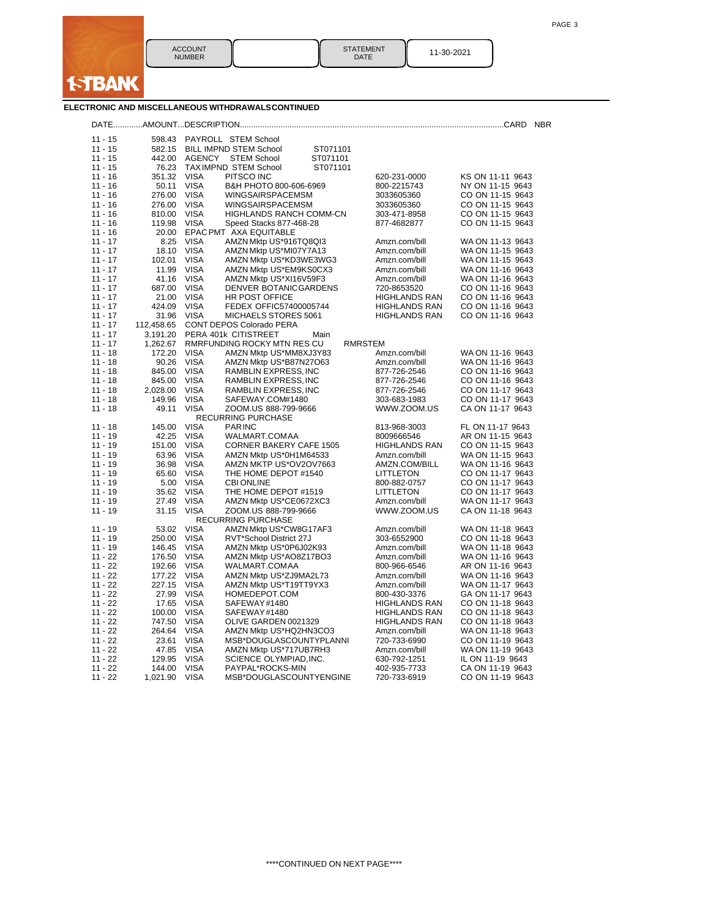

STATEMENT | 11-30-2021

| ELECTRONIC AND MISCELLANEOUS WITHDRAWALSCONTINUED |  |  |  |  |
|---------------------------------------------------|--|--|--|--|
|                                                   |  |  |  |  |

| $11 - 15$ |            |             | 598.43 PAYROLL STEM School                       |                                |                  |
|-----------|------------|-------------|--------------------------------------------------|--------------------------------|------------------|
| $11 - 15$ | 582.15     |             | <b>BILL IMPND STEM School</b><br>ST071101        |                                |                  |
| $11 - 15$ | 442.00     | AGENCY      | <b>STEM School</b><br>ST071101                   |                                |                  |
| $11 - 15$ | 76.23      |             | <b>TAXIMPND STEM School</b><br>ST071101          |                                |                  |
| $11 - 16$ | 351.32     | <b>VISA</b> | PITSCO INC                                       | 620-231-0000                   | KS ON 11-11 9643 |
| $11 - 16$ | 50.11      | <b>VISA</b> | B&H PHOTO 800-606-6969                           | 800-2215743                    | NY ON 11-15 9643 |
| $11 - 16$ | 276.00     | VISA        | <b>WINGSAIRSPACEMSM</b>                          | 3033605360                     | CO ON 11-15 9643 |
| $11 - 16$ | 276.00     | VISA        | <b>WINGSAIRSPACEMSM</b>                          | 3033605360                     | CO ON 11-15 9643 |
| $11 - 16$ | 810.00     | VISA        | HIGHLANDS RANCH COMM-CN                          | 303-471-8958                   | CO ON 11-15 9643 |
| $11 - 16$ | 119.98     | <b>VISA</b> | Speed Stacks 877-468-28                          | 877-4682877                    | CO ON 11-15 9643 |
| $11 - 16$ | 20.00      |             | EPAC PMT AXA EQUITABLE                           |                                |                  |
| $11 - 17$ | 8.25       | <b>VISA</b> | AMZN Mktp US*916TQ8QI3                           | Amzn.com/bill                  | WA ON 11-13 9643 |
| $11 - 17$ | 18.10      | <b>VISA</b> | AMZN Mktp US*MI07Y7A13                           | Amzn.com/bill                  | WA ON 11-15 9643 |
| $11 - 17$ | 102.01     | <b>VISA</b> | AMZN Mktp US*KD3WE3WG3                           | Amzn.com/bill                  | WA ON 11-15 9643 |
| $11 - 17$ | 11.99      | VISA        |                                                  |                                | WA ON 11-16 9643 |
| $11 - 17$ | 41.16      | <b>VISA</b> | AMZN Mktp US*EM9KS0CX3<br>AMZN Mktp US*XI16V59F3 | Amzn.com/bill<br>Amzn.com/bill | WA ON 11-16 9643 |
| $11 - 17$ | 687.00     | <b>VISA</b> |                                                  |                                |                  |
|           |            |             | DENVER BOTANICGARDENS                            | 720-8653520                    | CO ON 11-16 9643 |
| $11 - 17$ | 21.00      | <b>VISA</b> | HR POST OFFICE                                   | <b>HIGHLANDS RAN</b>           | CO ON 11-16 9643 |
| $11 - 17$ | 424.09     | VISA        | FEDEX OFFIC57400005744                           | <b>HIGHLANDS RAN</b>           | CO ON 11-16 9643 |
| $11 - 17$ | 31.96      | <b>VISA</b> | MICHAELS STORES 5061                             | <b>HIGHLANDS RAN</b>           | CO ON 11-16 9643 |
| $11 - 17$ | 112,458.65 |             | <b>CONT DEPOS Colorado PERA</b>                  |                                |                  |
| $11 - 17$ | 3,191.20   |             | PERA 401k CITISTREET<br>Main                     |                                |                  |
| $11 - 17$ | 1,262.67   |             | RMRFUNDING ROCKY MTN RES CU                      | RMRSTEM                        |                  |
| $11 - 18$ | 172.20     | <b>VISA</b> | AMZN Mktp US*MM8XJ3Y83                           | Amzn.com/bill                  | WA ON 11-16 9643 |
| $11 - 18$ | 90.26      | <b>VISA</b> | AMZN Mktp US*B87N27O63                           | Amzn.com/bill                  | WA ON 11-16 9643 |
| $11 - 18$ | 845.00     | <b>VISA</b> | RAMBLIN EXPRESS, INC                             | 877-726-2546                   | CO ON 11-16 9643 |
| $11 - 18$ | 845.00     | <b>VISA</b> | RAMBLIN EXPRESS, INC                             | 877-726-2546                   | CO ON 11-16 9643 |
| $11 - 18$ | 2,028.00   | VISA        | RAMBLIN EXPRESS, INC                             | 877-726-2546                   | CO ON 11-17 9643 |
| $11 - 18$ | 149.96     | <b>VISA</b> | SAFEWAY.COM#1480                                 | 303-683-1983                   | CO ON 11-17 9643 |
| $11 - 18$ | 49.11      | <b>VISA</b> | ZOOM.US 888-799-9666                             | WWW.ZOOM.US                    | CA ON 11-17 9643 |
|           |            |             | RECURRING PURCHASE                               |                                |                  |
| $11 - 18$ | 145.00     | <b>VISA</b> | <b>PARINC</b>                                    | 813-968-3003                   | FL ON 11-17 9643 |
| $11 - 19$ | 42.25      | <b>VISA</b> | WALMART.COMAA                                    | 8009666546                     | AR ON 11-15 9643 |
| $11 - 19$ | 151.00     | <b>VISA</b> | CORNER BAKERY CAFE 1505                          | <b>HIGHLANDS RAN</b>           | CO ON 11-15 9643 |
| $11 - 19$ | 63.96      | VISA        | AMZN Mktp US*0H1M64533                           | Amzn.com/bill                  | WA ON 11-15 9643 |
| $11 - 19$ | 36.98      | VISA        | AMZN MKTP US*OV2OV7663                           | AMZN.COM/BILL                  | WA ON 11-16 9643 |
| $11 - 19$ | 65.60      | <b>VISA</b> | THE HOME DEPOT #1540                             | LITTLETON                      | CO ON 11-17 9643 |
| $11 - 19$ | 5.00       | <b>VISA</b> | <b>CBI ONLINE</b>                                | 800-882-0757                   | CO ON 11-17 9643 |
| $11 - 19$ | 35.62      | VISA        | THE HOME DEPOT #1519                             | LITTLETON                      | CO ON 11-17 9643 |
| $11 - 19$ | 27.49      | <b>VISA</b> | AMZN Mktp US*CE0672XC3                           | Amzn.com/bill                  | WA ON 11-17 9643 |
| $11 - 19$ | 31.15      | <b>VISA</b> | ZOOM.US 888-799-9666                             | WWW.ZOOM.US                    | CA ON 11-18 9643 |
|           |            |             | <b>RECURRING PURCHASE</b>                        |                                |                  |
| $11 - 19$ | 53.02      | <b>VISA</b> | AMZN Mktp US*CW8G17AF3                           | Amzn.com/bill                  | WA ON 11-18 9643 |
| $11 - 19$ | 250.00     | VISA        | RVT*School District 27J                          | 303-6552900                    | CO ON 11-18 9643 |
| $11 - 19$ | 146.45     | <b>VISA</b> | AMZN Mktp US*0P6J02K93                           | Amzn.com/bill                  | WA ON 11-18 9643 |
| $11 - 22$ | 176.50     | <b>VISA</b> | AMZN Mktp US*AO8Z17BO3                           | Amzn.com/bill                  | WA ON 11-16 9643 |
| $11 - 22$ | 192.66     | <b>VISA</b> | WALMART.COMAA                                    | 800-966-6546                   | AR ON 11-16 9643 |
| $11 - 22$ | 177.22     | <b>VISA</b> | AMZN Mktp US*ZJ9MA2L73                           | Amzn.com/bill                  | WA ON 11-16 9643 |
| $11 - 22$ | 227.15     | VISA        | AMZN Mktp US*T19TT9YX3                           | Amzn.com/bill                  | WA ON 11-17 9643 |
| $11 - 22$ | 27.99      | <b>VISA</b> | HOMEDEPOT.COM                                    | 800-430-3376                   | GA ON 11-17 9643 |
| $11 - 22$ | 17.65      | <b>VISA</b> | SAFEWAY#1480                                     | <b>HIGHLANDS RAN</b>           | CO ON 11-18 9643 |
| $11 - 22$ | 100.00     | <b>VISA</b> | SAFEWAY#1480                                     | <b>HIGHLANDS RAN</b>           | CO ON 11-18 9643 |
| $11 - 22$ | 747.50     | <b>VISA</b> | OLIVE GARDEN 0021329                             | <b>HIGHLANDS RAN</b>           | CO ON 11-18 9643 |
| $11 - 22$ | 264.64     | <b>VISA</b> | AMZN Mktp US*HQ2HN3CO3                           | Amzn.com/bill                  | WA ON 11-18 9643 |
| $11 - 22$ | 23.61      | <b>VISA</b> | MSB*DOUGLASCOUNTYPLANNI                          | 720-733-6990                   | CO ON 11-19 9643 |
| $11 - 22$ | 47.85      | <b>VISA</b> | AMZN Mktp US*717UB7RH3                           | Amzn.com/bill                  | WA ON 11-19 9643 |
| $11 - 22$ | 129.95     | <b>VISA</b> | SCIENCE OLYMPIAD, INC.                           | 630-792-1251                   | IL ON 11-19 9643 |
| $11 - 22$ | 144.00     | <b>VISA</b> | PAYPAL*ROCKS-MIN                                 | 402-935-7733                   | CA ON 11-19 9643 |
| $11 - 22$ | 1,021.90   | <b>VISA</b> | MSB*DOUGLASCOUNTYENGINE                          | 720-733-6919                   | CO ON 11-19 9643 |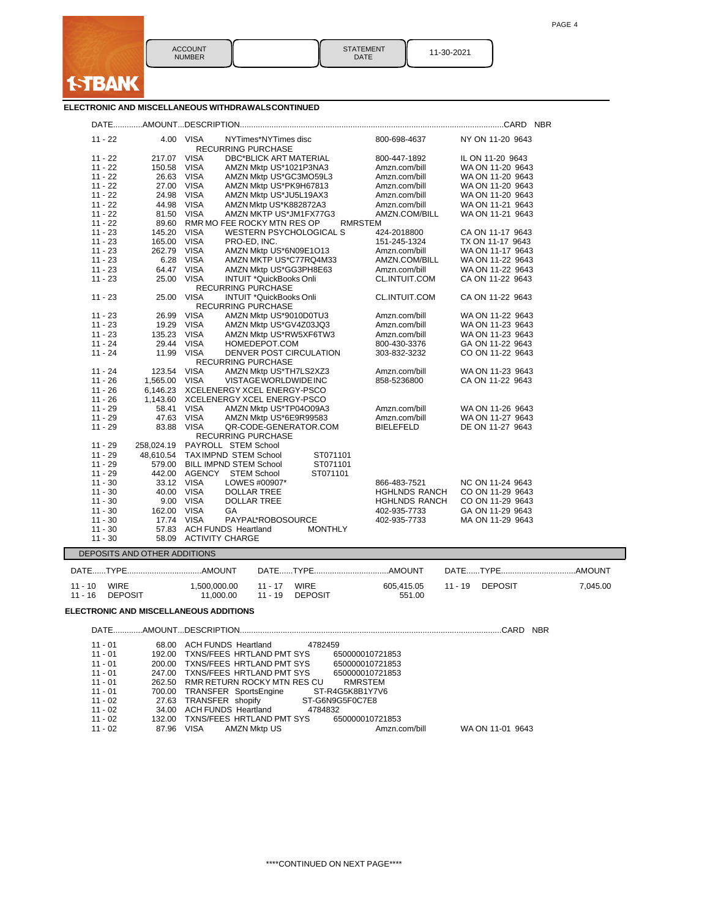

DATE 11-30-2021

STATEMENT<br>DATE

## **ELECTRONIC AND MISCELLANEOUS WITHDRAWALSCONTINUED**

| $11 - 22$                    | 4.00 VISA<br>NYTimes*NYTimes disc<br>RECURRING PURCHASE                   | 800-698-4637         | NY ON 11-20 9643 |
|------------------------------|---------------------------------------------------------------------------|----------------------|------------------|
| $11 - 22$                    | 217.07 VISA<br><b>DBC*BLICK ART MATERIAL</b>                              | 800-447-1892         | IL ON 11-20 9643 |
| $11 - 22$                    | 150.58 VISA<br>AMZN Mktp US*1021P3NA3                                     | Amzn.com/bill        | WA ON 11-20 9643 |
| $11 - 22$                    | 26.63 VISA<br>AMZN Mktp US*GC3MO59L3                                      | Amzn.com/bill        | WA ON 11-20 9643 |
|                              |                                                                           |                      |                  |
| $11 - 22$                    | 27.00 VISA<br>AMZN Mktp US*PK9H67813                                      | Amzn.com/bill        | WA ON 11-20 9643 |
| $11 - 22$                    | 24.98 VISA<br>AMZN Mktp US*JU5L19AX3                                      | Amzn.com/bill        | WA ON 11-20 9643 |
| $11 - 22$                    | 44.98 VISA<br>AMZN Mktp US*K882872A3                                      | Amzn.com/bill        | WA ON 11-21 9643 |
| $11 - 22$                    | 81.50 VISA<br>AMZN MKTP US*JM1FX77G3                                      | AMZN.COM/BILL        | WA ON 11-21 9643 |
| $11 - 22$                    | 89.60 RMR MO FEE ROCKY MTN RES OP<br><b>RMRSTEM</b>                       |                      |                  |
| $11 - 23$                    | 145.20 VISA<br>WESTERN PSYCHOLOGICAL S                                    | 424-2018800          | CA ON 11-17 9643 |
| $11 - 23$                    | 165.00 VISA<br>PRO-ED, INC.                                               | 151-245-1324         | TX ON 11-17 9643 |
| $11 - 23$                    | 262.79 VISA<br>AMZN Mktp US*6N09E1O13                                     | Amzn.com/bill        | WA ON 11-17 9643 |
| $11 - 23$                    | 6.28 VISA<br>AMZN MKTP US*C77RQ4M33                                       | AMZN.COM/BILL        | WA ON 11-22 9643 |
| $11 - 23$                    | 64.47 VISA<br>AMZN Mktp US*GG3PH8E63                                      | Amzn.com/bill        | WA ON 11-22 9643 |
| $11 - 23$                    | 25.00 VISA                                                                |                      |                  |
|                              | INTUIT *QuickBooks Onli<br><b>RECURRING PURCHASE</b>                      | CL.INTUIT.COM        | CA ON 11-22 9643 |
| $11 - 23$                    | 25.00 VISA<br><b>INTUIT *QuickBooks Onli</b><br><b>RECURRING PURCHASE</b> | CL.INTUIT.COM        | CA ON 11-22 9643 |
| $11 - 23$                    | 26.99 VISA<br>AMZN Mktp US*9010D0TU3                                      | Amzn.com/bill        | WA ON 11-22 9643 |
| $11 - 23$                    | 19.29 VISA<br>AMZN Mktp US*GV4Z03JQ3                                      | Amzn.com/bill        | WA ON 11-23 9643 |
| $11 - 23$                    | 135.23 VISA<br>AMZN Mktp US*RW5XF6TW3                                     | Amzn.com/bill        | WA ON 11-23 9643 |
| $11 - 24$                    | 29.44 VISA<br>HOMEDEPOT.COM                                               | 800-430-3376         | GA ON 11-22 9643 |
| $11 - 24$                    | 11.99 VISA<br>DENVER POST CIRCULATION                                     | 303-832-3232         | CO ON 11-22 9643 |
|                              | <b>RECURRING PURCHASE</b>                                                 |                      |                  |
| $11 - 24$                    | 123.54 VISA<br>AMZN Mktp US*TH7LS2XZ3                                     | Amzn.com/bill        | WA ON 11-23 9643 |
| 1,565.00 VISA<br>$11 - 26$   | VISTAGE WORLDWIDE INC                                                     | 858-5236800          | CA ON 11-22 9643 |
| $11 - 26$                    | 6,146.23 XCELENERGY XCEL ENERGY-PSCO                                      |                      |                  |
| $11 - 26$                    | 1,143.60 XCELENERGY XCEL ENERGY-PSCO                                      |                      |                  |
| $11 - 29$                    | 58.41 VISA<br>AMZN Mktp US*TP04O09A3                                      | Amzn.com/bill        | WA ON 11-26 9643 |
| $11 - 29$                    | 47.63 VISA<br>AMZN Mktp US*6E9R99583                                      | Amzn.com/bill        | WA ON 11-27 9643 |
| $11 - 29$                    | 83.88 VISA<br>QR-CODE-GENERATOR.COM                                       | <b>BIELEFELD</b>     | DE ON 11-27 9643 |
|                              | <b>RECURRING PURCHASE</b>                                                 |                      |                  |
| $11 - 29$                    | 258.024.19 PAYROLL STEM School                                            |                      |                  |
| $11 - 29$                    | 48,610.54 TAXIMPND STEM School<br>ST071101                                |                      |                  |
| $11 - 29$                    | ST071101<br>579.00 BILL IMPND STEM School                                 |                      |                  |
| $11 - 29$                    | 442.00 AGENCY STEM School<br>ST071101                                     |                      |                  |
| $11 - 30$                    | 33.12 VISA<br>LOWES #00907*                                               | 866-483-7521         | NC ON 11-24 9643 |
| $11 - 30$                    | 40.00 VISA<br>DOLLAR TREE                                                 | <b>HGHLNDS RANCH</b> | CO ON 11-29 9643 |
| $11 - 30$                    | 9.00 VISA<br><b>DOLLAR TREE</b>                                           | <b>HGHLNDS RANCH</b> | CO ON 11-29 9643 |
| $11 - 30$                    | 162.00 VISA<br><b>GA</b>                                                  |                      | GA ON 11-29 9643 |
|                              |                                                                           | 402-935-7733         |                  |
| $11 - 30$                    | 17.74 VISA<br>PAYPAL*ROBOSOURCE                                           | 402-935-7733         | MA ON 11-29 9643 |
| $11 - 30$                    | 57.83 ACH FUNDS Heartland<br><b>MONTHLY</b>                               |                      |                  |
| $11 - 30$                    | 58.09 ACTIVITY CHARGE                                                     |                      |                  |
| DEPOSITS AND OTHER ADDITIONS |                                                                           |                      |                  |

DATE......TYPE.................................AMOUNT DATE......TYPE.................................AMOUNT DATE......TYPE.................................AMOUNT - 10 WIRE 1,500,000.00 11 - 17 WIRE 605,415.05 11 - 19 DEPOSIT 7,045.00 - 16 DEPOSIT 11,000.00 11 - 19 DEPOSIT 551.00

# **ELECTRONIC AND MISCELLANEOUS ADDITIONS**

|           |       | CARD                                                         | <b>NBR</b> |
|-----------|-------|--------------------------------------------------------------|------------|
| 11 - 01   | 68.00 | ACH FUNDS Heartland<br>4782459                               |            |
| 11 - 01   |       | 192.00 TXNS/FEES HRTLAND PMT SYS<br>650000010721853          |            |
| 11 - 01   |       | 200.00 TXNS/FEES HRTLAND PMT SYS<br>650000010721853          |            |
| $11 - 01$ |       | 247.00 TXNS/FEES HRTLAND PMT SYS<br>650000010721853          |            |
| 11 - 01   |       | 262.50 RMR RETURN ROCKY MTN RES CU<br>RMRSTEM                |            |
| 11 - 01   |       | 700.00 TRANSFER SportsEngine<br>ST-R4G5K8B1Y7V6              |            |
| $11 - 02$ |       | 27.63 TRANSFER shopify ST-G6N9G5F0C7E8                       |            |
| $11 - 02$ |       | 34.00 ACH FUNDS Heartland 4784832                            |            |
| 11 - 02   |       | 132.00 TXNS/FEES HRTLAND PMT SYS<br>650000010721853          |            |
| 11 - 02   |       | WA ON 11-01 9643<br>87.96 VISA AMZN Mktp US<br>Amzn.com/bill |            |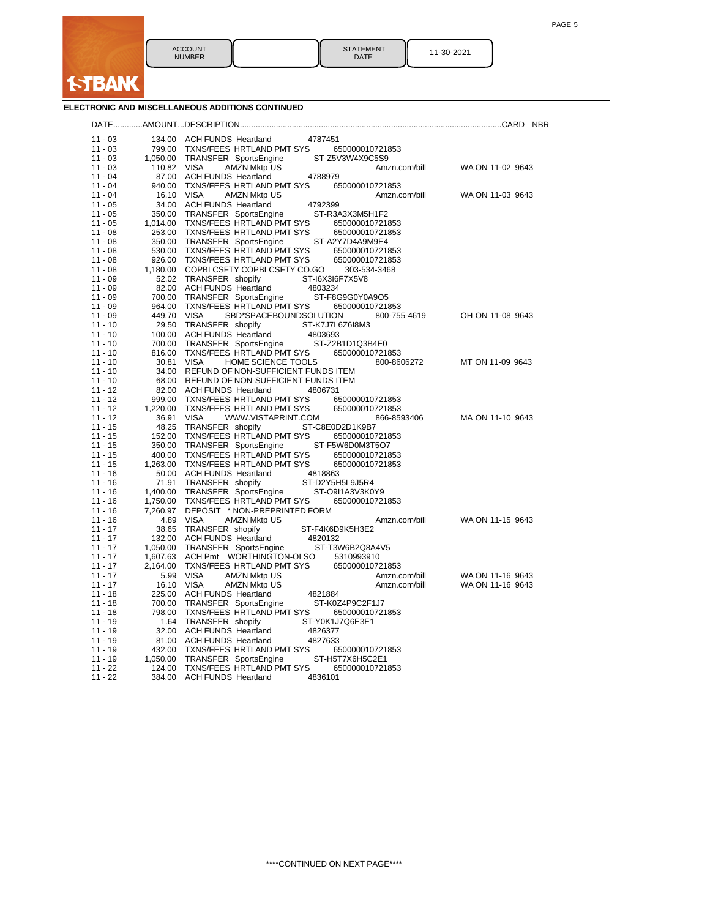| <b>ACCOUNT</b><br><b>NUMBER</b> | <b>STATEMENT</b><br><b>DATE</b> | 11-30-2021 |
|---------------------------------|---------------------------------|------------|

**ELECTRONIC AND MISCELLANEOUS ADDITIONS CONTINUED**

**f-TBANK** 

|                        |                      |                                                                                    | <b>NBR</b>       |
|------------------------|----------------------|------------------------------------------------------------------------------------|------------------|
| $11 - 03$              |                      | 134.00 ACH FUNDS Heartland<br>4787451                                              |                  |
| $11 - 03$              | 799.00               | TXNS/FEES HRTLAND PMT SYS<br>650000010721853                                       |                  |
| $11 - 03$              | 1.050.00             | <b>TRANSFER SportsEngine</b><br>ST-Z5V3W4X9C5S9                                    |                  |
| $11 - 03$              | 110.82               | <b>VISA</b><br><b>AMZN Mktp US</b><br>Amzn.com/bill                                | WA ON 11-02 9643 |
| 11 - 04                | 87.00                | <b>ACH FUNDS Heartland</b><br>4788979                                              |                  |
| $11 - 04$              | 940.00               | TXNS/FEES HRTLAND PMT SYS<br>650000010721853                                       |                  |
| $11 - 04$              | 16.10 VISA           | <b>AMZN Mktp US</b><br>Amzn.com/bill                                               | WA ON 11-03 9643 |
| $11 - 05$              |                      | 4792399<br>34.00 ACH FUNDS Heartland                                               |                  |
| $11 - 05$              |                      | 350.00 TRANSFER SportsEngine<br>ST-R3A3X3M5H1F2                                    |                  |
| $11 - 05$              | 1,014.00             | TXNS/FEES HRTLAND PMT SYS<br>650000010721853                                       |                  |
| $11 - 08$<br>$11 - 08$ | 253.00<br>350.00     | TXNS/FEES HRTLAND PMT SYS<br>650000010721853<br>ST-A2Y7D4A9M9E4                    |                  |
| $11 - 08$              |                      | TRANSFER SportsEngine<br>530.00 TXNS/FEES HRTLAND PMT SYS<br>650000010721853       |                  |
| 11 - 08                |                      | 926.00 TXNS/FEES HRTLAND PMT SYS<br>650000010721853                                |                  |
| $11 - 08$              |                      | 1,180.00 COPBLCSFTY COPBLCSFTY CO.GO<br>303-534-3468                               |                  |
| $11 - 09$              |                      | 52.02 TRANSFER shopify<br>ST-I6X3I6F7X5V8                                          |                  |
| $11 - 09$              | 82.00                | ACH FUNDS Heartland<br>4803234                                                     |                  |
| 11 - 09                |                      | 700.00 TRANSFER SportsEngine<br>ST-F8G9G0Y0A9O5                                    |                  |
| $11 - 09$              | 964.00               | TXNS/FEES HRTLAND PMT SYS<br>650000010721853                                       |                  |
| $11 - 09$              | 449.70               | SBD*SPACEBOUNDSOLUTION<br>VISA<br>800-755-4619                                     | OH ON 11-08 9643 |
| $11 - 10$              | 29.50                | TRANSFER shopify<br>ST-K7J7L6Z6I8M3                                                |                  |
| $11 - 10$              |                      | 100.00 ACH FUNDS Heartland<br>4803693                                              |                  |
| 11 - 10                | 700.00               | TRANSFER SportsEngine<br>ST-Z2B1D1Q3B4E0                                           |                  |
| $11 - 10$              | 816.00               | TXNS/FEES HRTLAND PMT SYS<br>650000010721853                                       |                  |
| $11 - 10$              | 30.81                | <b>VISA</b><br>HOME SCIENCE TOOLS<br>800-8606272                                   | MT ON 11-09 9643 |
| $11 - 10$              | 34.00                | REFUND OF NON-SUFFICIENT FUNDS ITEM                                                |                  |
| 11 - 10                |                      | 68.00 REFUND OF NON-SUFFICIENT FUNDS ITEM                                          |                  |
| $11 - 12$<br>$11 - 12$ | 82.00<br>999.00      | <b>ACH FUNDS Heartland</b><br>4806731<br>TXNS/FEES HRTLAND PMT SYS                 |                  |
| $11 - 12$              | 1,220.00             | 650000010721853<br>TXNS/FEES HRTLAND PMT SYS<br>650000010721853                    |                  |
| $11 - 12$              | 36.91                | VISA<br>WWW.VISTAPRINT.COM<br>866-8593406                                          | MA ON 11-10 9643 |
| 11 - 15                | 48.25                | ST-C8E0D2D1K9B7<br>TRANSFER shopify                                                |                  |
| $11 - 15$              | 152.00               | TXNS/FEES HRTLAND PMT SYS<br>650000010721853                                       |                  |
| $11 - 15$              | 350.00               | TRANSFER SportsEngine<br>ST-F5W6D0M3T5O7                                           |                  |
| $11 - 15$              |                      | 400.00 TXNS/FEES HRTLAND PMT SYS<br>650000010721853                                |                  |
| 11 - 15                |                      | 1,263.00 TXNS/FEES HRTLAND PMT SYS<br>650000010721853                              |                  |
| $11 - 16$              | 50.00                | <b>ACH FUNDS Heartland</b><br>4818863                                              |                  |
| $11 - 16$              | 71.91                | TRANSFER shopify<br>ST-D2Y5H5L9J5R4                                                |                  |
| $11 - 16$              | 1,400.00             | TRANSFER SportsEngine<br>ST-O9I1A3V3K0Y9                                           |                  |
| $11 - 16$              | 1,750.00             | TXNS/FEES HRTLAND PMT SYS<br>650000010721853                                       |                  |
| 11 - 16                | 7,260.97             | DEPOSIT * NON-PREPRINTED FORM                                                      |                  |
| $11 - 16$              | 4.89                 | <b>VISA</b><br><b>AMZN Mktp US</b><br>Amzn.com/bill                                | WA ON 11-15 9643 |
| $11 - 17$              | 38.65                | TRANSFER shopify<br>ST-F4K6D9K5H3E2                                                |                  |
| $11 - 17$              | 132.00               | ACH FUNDS Heartland<br>4820132                                                     |                  |
| 11 - 17<br>$11 - 17$   | 1,050.00<br>1,607.63 | TRANSFER SportsEngine<br>ST-T3W6B2Q8A4V5<br>ACH Pmt WORTHINGTON-OLSO<br>5310993910 |                  |
| $11 - 17$              | 2,164.00             | TXNS/FEES HRTLAND PMT SYS<br>650000010721853                                       |                  |
| $11 - 17$              | 5.99                 | <b>VISA</b><br><b>AMZN Mktp US</b><br>Amzn.com/bill                                | WA ON 11-16 9643 |
| $11 - 17$              | 16.10                | <b>VISA</b><br><b>AMZN Mktp US</b><br>Amzn.com/bill                                | WA ON 11-16 9643 |
| 11 - 18                |                      | 225.00 ACH FUNDS Heartland<br>4821884                                              |                  |
| $11 - 18$              | 700.00               | TRANSFER SportsEngine<br>ST-K0Z4P9C2F1J7                                           |                  |
| $11 - 18$              | 798.00               | TXNS/FEES HRTLAND PMT SYS<br>650000010721853                                       |                  |
| 11 - 19                |                      | 1.64 TRANSFER shopify<br>ST-Y0K1J7Q6E3E1                                           |                  |
| 11 - 19                |                      | 32.00 ACH FUNDS Heartland<br>4826377                                               |                  |
| $11 - 19$              |                      | 81.00 ACH FUNDS Heartland<br>4827633                                               |                  |
| $11 - 19$              |                      | 432.00 TXNS/FEES HRTLAND PMT SYS<br>650000010721853                                |                  |
| $11 - 19$              |                      | 1,050.00 TRANSFER SportsEngine<br>ST-H5T7X6H5C2E1                                  |                  |
| $11 - 22$              |                      | 124.00 TXNS/FEES HRTLAND PMT SYS<br>650000010721853                                |                  |
| 11 - 22                |                      | 384.00 ACH FUNDS Heartland<br>4836101                                              |                  |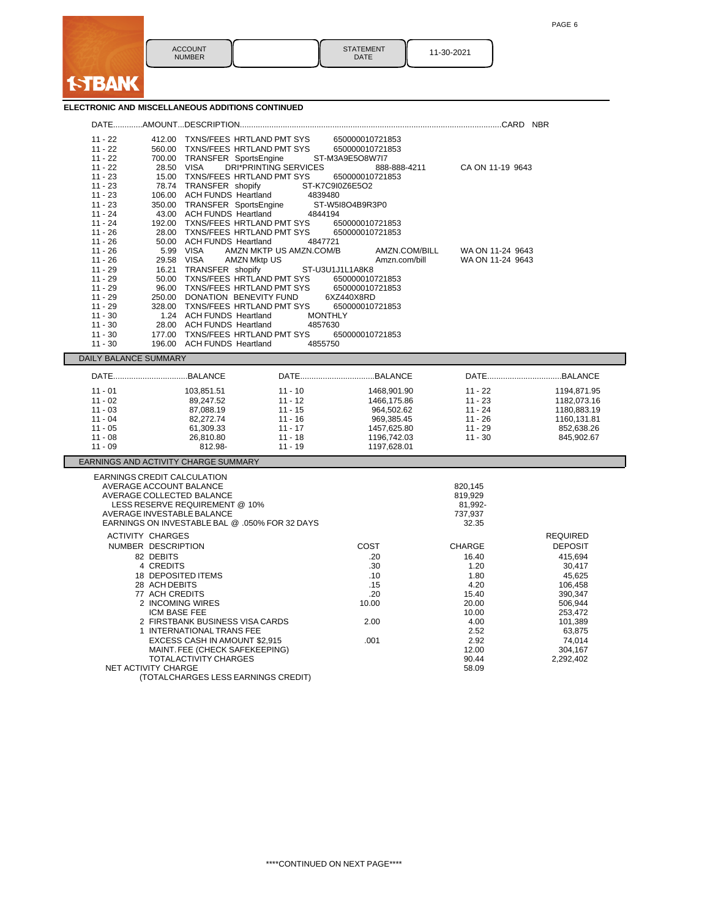

## **ELECTRONIC AND MISCELLANEOUS ADDITIONS CONTINUED**

**f-TBANK** 

| $11 - 22$                                   | 412.00 TXNS/FEES HRTLAND PMT SYS               |                              | 650000010721853 |                  |                 |
|---------------------------------------------|------------------------------------------------|------------------------------|-----------------|------------------|-----------------|
| $11 - 22$                                   | 560.00 TXNS/FEES HRTLAND PMT SYS               |                              | 650000010721853 |                  |                 |
| $11 - 22$                                   | 700.00 TRANSFER SportsEngine                   |                              | ST-M3A9E5O8W7I7 |                  |                 |
| $11 - 22$                                   | <b>VISA</b><br>28.50                           | <b>DRI*PRINTING SERVICES</b> | 888-888-4211    | CA ON 11-19 9643 |                 |
| $11 - 23$                                   | 15.00 TXNS/FEES HRTLAND PMT SYS                |                              | 650000010721853 |                  |                 |
| $11 - 23$                                   | 78.74 TRANSFER shopify                         |                              | ST-K7C9I0Z6E5O2 |                  |                 |
| $11 - 23$                                   | 106.00 ACH FUNDS Heartland                     | 4839480                      |                 |                  |                 |
| $11 - 23$                                   | 350.00 TRANSFER SportsEngine                   |                              | ST-W5I8O4B9R3P0 |                  |                 |
| $11 - 24$                                   | 43.00 ACH FUNDS Heartland                      | 4844194                      |                 |                  |                 |
| $11 - 24$                                   | 192.00 TXNS/FEES HRTLAND PMT SYS               |                              | 650000010721853 |                  |                 |
| $11 - 26$                                   | 28.00 TXNS/FEES HRTLAND PMT SYS                |                              | 650000010721853 |                  |                 |
| $11 - 26$                                   | 50.00 ACH FUNDS Heartland                      | 4847721                      |                 |                  |                 |
| $11 - 26$                                   | 5.99 VISA                                      | AMZN MKTP US AMZN.COM/B      | AMZN.COM/BILL   | WA ON 11-24 9643 |                 |
| $11 - 26$                                   | 29.58 VISA                                     | <b>AMZN Mktp US</b>          | Amzn.com/bill   | WA ON 11-24 9643 |                 |
| $11 - 29$                                   | 16.21 TRANSFER shopify                         |                              | ST-U3U1J1L1A8K8 |                  |                 |
| $11 - 29$                                   | 50.00 TXNS/FEES HRTLAND PMT SYS                |                              | 650000010721853 |                  |                 |
| $11 - 29$                                   | 96.00 TXNS/FEES HRTLAND PMT SYS                |                              | 650000010721853 |                  |                 |
| $11 - 29$                                   | 250.00 DONATION BENEVITY FUND                  |                              | 6XZ440X8RD      |                  |                 |
| $11 - 29$                                   | 328.00 TXNS/FEES HRTLAND PMT SYS               |                              | 650000010721853 |                  |                 |
| $11 - 30$                                   | 1.24 ACH FUNDS Heartland                       | <b>MONTHLY</b>               |                 |                  |                 |
| $11 - 30$                                   | 28.00 ACH FUNDS Heartland                      | 4857630                      |                 |                  |                 |
| $11 - 30$                                   | 177.00<br><b>ACH FUNDS Heartland</b><br>196.00 | TXNS/FEES HRTLAND PMT SYS    | 650000010721853 |                  |                 |
| $11 - 30$                                   |                                                | 4855750                      |                 |                  |                 |
| DAILY BALANCE SUMMARY                       |                                                |                              |                 |                  |                 |
|                                             | DATEBALANCE                                    |                              |                 | DATEBALANCE      |                 |
| $11 - 01$                                   | 103,851.51                                     | $11 - 10$                    | 1468,901.90     | $11 - 22$        | 1194,871.95     |
| $11 - 02$                                   | 89,247.52                                      | $11 - 12$                    | 1466,175.86     | $11 - 23$        | 1182,073.16     |
| $11 - 03$                                   | 87,088.19                                      | $11 - 15$                    | 964,502.62      | $11 - 24$        | 1180,883.19     |
| $11 - 04$                                   | 82,272.74                                      | $11 - 16$                    | 969,385.45      | $11 - 26$        | 1160.131.81     |
| $11 - 05$                                   | 61,309.33                                      | $11 - 17$                    | 1457,625.80     | $11 - 29$        | 852,638.26      |
| $11 - 08$                                   | 26,810.80                                      | $11 - 18$                    | 1196,742.03     | $11 - 30$        | 845,902.67      |
| $11 - 09$                                   | 812.98-                                        | $11 - 19$                    | 1197,628.01     |                  |                 |
|                                             | EARNINGS AND ACTIVITY CHARGE SUMMARY           |                              |                 |                  |                 |
|                                             | EARNINGS CREDIT CALCULATION                    |                              |                 |                  |                 |
|                                             | AVERAGE ACCOUNT BALANCE                        |                              |                 | 820,145          |                 |
|                                             | AVERAGE COLLECTED BALANCE                      |                              |                 | 819,929          |                 |
|                                             | LESS RESERVE REQUIREMENT @ 10%                 |                              |                 | 81,992-          |                 |
|                                             | AVERAGE INVESTABLE BALANCE                     |                              |                 | 737,937          |                 |
|                                             | EARNINGS ON INVESTABLE BAL @ .050% FOR 32 DAYS |                              |                 | 32.35            |                 |
|                                             | <b>ACTIVITY CHARGES</b>                        |                              |                 |                  | <b>REQUIRED</b> |
|                                             | NUMBER DESCRIPTION                             |                              | COST            | <b>CHARGE</b>    | <b>DEPOSIT</b>  |
|                                             | 82 DEBITS                                      |                              | .20             | 16.40            | 415,694         |
|                                             | 4 CREDITS                                      |                              | .30             | 1.20             | 30,417          |
|                                             | 18 DEPOSITED ITEMS                             |                              | .10             | 1.80             | 45,625          |
|                                             | 28 ACH DEBITS                                  |                              | .15             | 4.20             | 106,458         |
| 77 ACH CREDITS                              |                                                |                              | .20             | 15.40            | 390,347         |
| 2 INCOMING WIRES                            |                                                |                              | 10.00           | 20.00            | 506,944         |
| ICM BASE FEE                                |                                                |                              |                 | 10.00            | 253,472         |
| 2 FIRSTBANK BUSINESS VISA CARDS             |                                                |                              | 2.00            | 4.00             | 101,389         |
|                                             | 1 INTERNATIONAL TRANS FEE                      |                              |                 | 2.52             | 63,875          |
|                                             | EXCESS CASH IN AMOUNT \$2,915                  |                              | .001            | 2.92             | 74,014          |
| MAINT. FEE (CHECK SAFEKEEPING)              |                                                |                              |                 | 12.00            | 304,167         |
| TOTALACTIVITY CHARGES<br>90.44<br>2,292,402 |                                                |                              |                 |                  |                 |
|                                             | <b>NET ACTIVITY CHARGE</b><br>58.09            |                              |                 |                  |                 |
| (TOTALCHARGES LESS EARNINGS CREDIT)         |                                                |                              |                 |                  |                 |